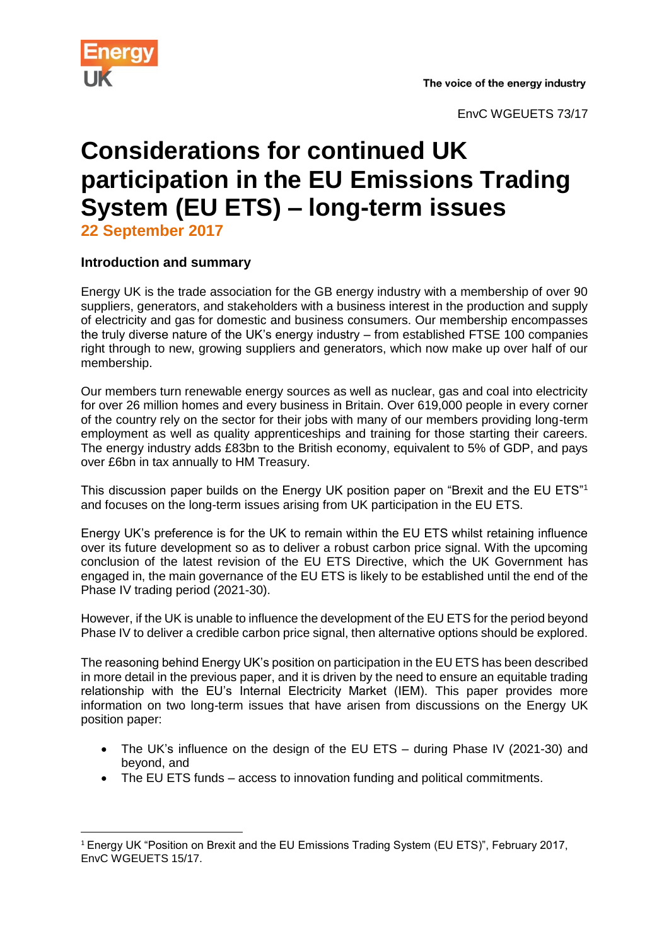

EnvC WGEUETS 73/17

# **Considerations for continued UK participation in the EU Emissions Trading System (EU ETS) – long-term issues**

**22 September 2017**

# **Introduction and summary**

Energy UK is the trade association for the GB energy industry with a membership of over 90 suppliers, generators, and stakeholders with a business interest in the production and supply of electricity and gas for domestic and business consumers. Our membership encompasses the truly diverse nature of the UK's energy industry – from established FTSE 100 companies right through to new, growing suppliers and generators, which now make up over half of our membership.

Our members turn renewable energy sources as well as nuclear, gas and coal into electricity for over 26 million homes and every business in Britain. Over 619,000 people in every corner of the country rely on the sector for their jobs with many of our members providing long-term employment as well as quality apprenticeships and training for those starting their careers. The energy industry adds £83bn to the British economy, equivalent to 5% of GDP, and pays over £6bn in tax annually to HM Treasury.

This discussion paper builds on the Energy UK position paper on "Brexit and the EU ETS"<sup>1</sup> and focuses on the long-term issues arising from UK participation in the EU ETS.

Energy UK's preference is for the UK to remain within the EU ETS whilst retaining influence over its future development so as to deliver a robust carbon price signal. With the upcoming conclusion of the latest revision of the EU ETS Directive, which the UK Government has engaged in, the main governance of the EU ETS is likely to be established until the end of the Phase IV trading period (2021-30).

However, if the UK is unable to influence the development of the EU ETS for the period beyond Phase IV to deliver a credible carbon price signal, then alternative options should be explored.

The reasoning behind Energy UK's position on participation in the EU ETS has been described in more detail in the previous paper, and it is driven by the need to ensure an equitable trading relationship with the EU's Internal Electricity Market (IEM). This paper provides more information on two long-term issues that have arisen from discussions on the Energy UK position paper:

- The UK's influence on the design of the EU ETS during Phase IV (2021-30) and beyond, and
- The EU ETS funds access to innovation funding and political commitments.

**<sup>.</sup>** <sup>1</sup> Energy UK "Position on Brexit and the EU Emissions Trading System (EU ETS)", February 2017, EnvC WGEUETS 15/17.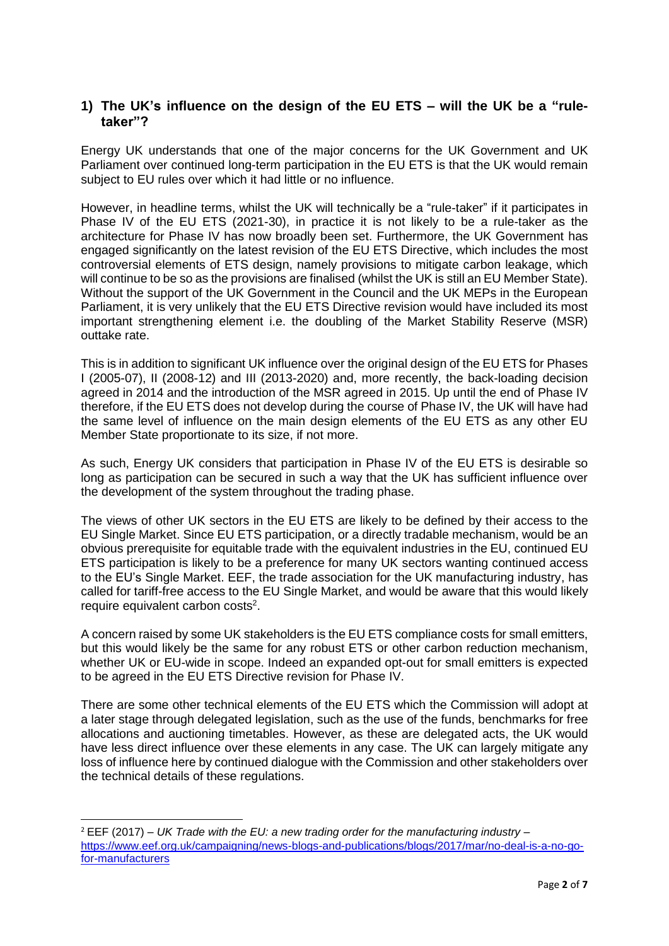## **1) The UK's influence on the design of the EU ETS – will the UK be a "ruletaker"?**

Energy UK understands that one of the major concerns for the UK Government and UK Parliament over continued long-term participation in the EU ETS is that the UK would remain subject to EU rules over which it had little or no influence.

However, in headline terms, whilst the UK will technically be a "rule-taker" if it participates in Phase IV of the EU ETS (2021-30), in practice it is not likely to be a rule-taker as the architecture for Phase IV has now broadly been set. Furthermore, the UK Government has engaged significantly on the latest revision of the EU ETS Directive, which includes the most controversial elements of ETS design, namely provisions to mitigate carbon leakage, which will continue to be so as the provisions are finalised (whilst the UK is still an EU Member State). Without the support of the UK Government in the Council and the UK MEPs in the European Parliament, it is very unlikely that the EU ETS Directive revision would have included its most important strengthening element i.e. the doubling of the Market Stability Reserve (MSR) outtake rate.

This is in addition to significant UK influence over the original design of the EU ETS for Phases I (2005-07), II (2008-12) and III (2013-2020) and, more recently, the back-loading decision agreed in 2014 and the introduction of the MSR agreed in 2015. Up until the end of Phase IV therefore, if the EU ETS does not develop during the course of Phase IV, the UK will have had the same level of influence on the main design elements of the EU ETS as any other EU Member State proportionate to its size, if not more.

As such, Energy UK considers that participation in Phase IV of the EU ETS is desirable so long as participation can be secured in such a way that the UK has sufficient influence over the development of the system throughout the trading phase.

The views of other UK sectors in the EU ETS are likely to be defined by their access to the EU Single Market. Since EU ETS participation, or a directly tradable mechanism, would be an obvious prerequisite for equitable trade with the equivalent industries in the EU, continued EU ETS participation is likely to be a preference for many UK sectors wanting continued access to the EU's Single Market. EEF, the trade association for the UK manufacturing industry, has called for tariff-free access to the EU Single Market, and would be aware that this would likely require equivalent carbon costs<sup>2</sup>.

A concern raised by some UK stakeholders is the EU ETS compliance costs for small emitters, but this would likely be the same for any robust ETS or other carbon reduction mechanism, whether UK or EU-wide in scope. Indeed an expanded opt-out for small emitters is expected to be agreed in the EU ETS Directive revision for Phase IV.

There are some other technical elements of the EU ETS which the Commission will adopt at a later stage through delegated legislation, such as the use of the funds, benchmarks for free allocations and auctioning timetables. However, as these are delegated acts, the UK would have less direct influence over these elements in any case. The UK can largely mitigate any loss of influence here by continued dialogue with the Commission and other stakeholders over the technical details of these regulations.

**.** 

<sup>2</sup> EEF (2017) – *UK Trade with the EU: a new trading order for the manufacturing industry* – [https://www.eef.org.uk/campaigning/news-blogs-and-publications/blogs/2017/mar/no-deal-is-a-no-go](https://www.eef.org.uk/campaigning/news-blogs-and-publications/blogs/2017/mar/no-deal-is-a-no-go-for-manufacturers)[for-manufacturers](https://www.eef.org.uk/campaigning/news-blogs-and-publications/blogs/2017/mar/no-deal-is-a-no-go-for-manufacturers)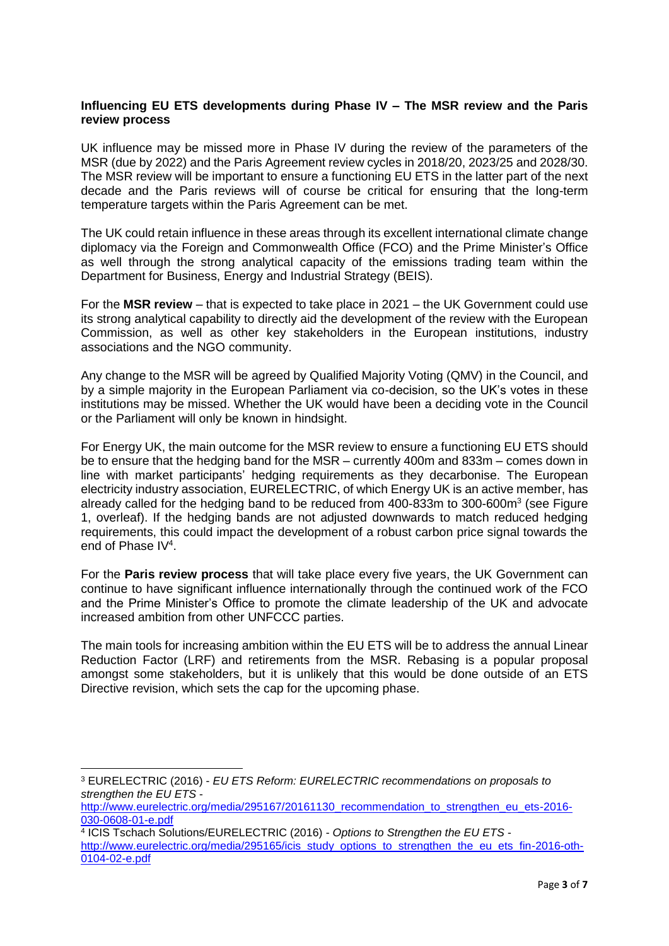### **Influencing EU ETS developments during Phase IV – The MSR review and the Paris review process**

UK influence may be missed more in Phase IV during the review of the parameters of the MSR (due by 2022) and the Paris Agreement review cycles in 2018/20, 2023/25 and 2028/30. The MSR review will be important to ensure a functioning EU ETS in the latter part of the next decade and the Paris reviews will of course be critical for ensuring that the long-term temperature targets within the Paris Agreement can be met.

The UK could retain influence in these areas through its excellent international climate change diplomacy via the Foreign and Commonwealth Office (FCO) and the Prime Minister's Office as well through the strong analytical capacity of the emissions trading team within the Department for Business, Energy and Industrial Strategy (BEIS).

For the **MSR review** – that is expected to take place in 2021 – the UK Government could use its strong analytical capability to directly aid the development of the review with the European Commission, as well as other key stakeholders in the European institutions, industry associations and the NGO community.

Any change to the MSR will be agreed by Qualified Majority Voting (QMV) in the Council, and by a simple majority in the European Parliament via co-decision, so the UK's votes in these institutions may be missed. Whether the UK would have been a deciding vote in the Council or the Parliament will only be known in hindsight.

For Energy UK, the main outcome for the MSR review to ensure a functioning EU ETS should be to ensure that the hedging band for the MSR – currently 400m and 833m – comes down in line with market participants' hedging requirements as they decarbonise. The European electricity industry association, EURELECTRIC, of which Energy UK is an active member, has already called for the hedging band to be reduced from 400-833m to 300-600m<sup>3</sup> (see Figure 1, overleaf). If the hedging bands are not adjusted downwards to match reduced hedging requirements, this could impact the development of a robust carbon price signal towards the end of Phase IV<sup>4</sup>.

For the **Paris review process** that will take place every five years, the UK Government can continue to have significant influence internationally through the continued work of the FCO and the Prime Minister's Office to promote the climate leadership of the UK and advocate increased ambition from other UNFCCC parties.

The main tools for increasing ambition within the EU ETS will be to address the annual Linear Reduction Factor (LRF) and retirements from the MSR. Rebasing is a popular proposal amongst some stakeholders, but it is unlikely that this would be done outside of an ETS Directive revision, which sets the cap for the upcoming phase.

**<sup>.</sup>** <sup>3</sup> EURELECTRIC (2016) - *EU ETS Reform: EURELECTRIC recommendations on proposals to strengthen the EU ETS* -

[http://www.eurelectric.org/media/295167/20161130\\_recommendation\\_to\\_strengthen\\_eu\\_ets-2016-](http://www.eurelectric.org/media/295167/20161130_recommendation_to_strengthen_eu_ets-2016-030-0608-01-e.pdf) [030-0608-01-e.pdf](http://www.eurelectric.org/media/295167/20161130_recommendation_to_strengthen_eu_ets-2016-030-0608-01-e.pdf)

<sup>4</sup> ICIS Tschach Solutions/EURELECTRIC (2016) - *Options to Strengthen the EU ETS* -

[http://www.eurelectric.org/media/295165/icis\\_study\\_options\\_to\\_strengthen\\_the\\_eu\\_ets\\_fin-2016-oth-](http://www.eurelectric.org/media/295165/icis_study_options_to_strengthen_the_eu_ets_fin-2016-oth-0104-02-e.pdf)[0104-02-e.pdf](http://www.eurelectric.org/media/295165/icis_study_options_to_strengthen_the_eu_ets_fin-2016-oth-0104-02-e.pdf)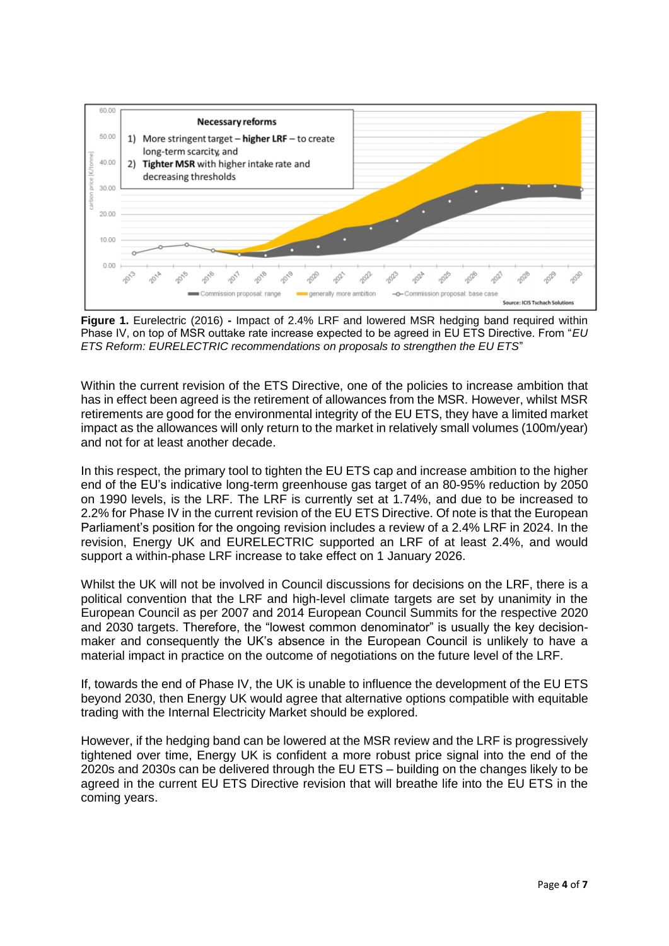

**Figure 1.** Eurelectric (2016) **-** Impact of 2.4% LRF and lowered MSR hedging band required within Phase IV, on top of MSR outtake rate increase expected to be agreed in EU ETS Directive. From "*EU ETS Reform: EURELECTRIC recommendations on proposals to strengthen the EU ETS*"

Within the current revision of the ETS Directive, one of the policies to increase ambition that has in effect been agreed is the retirement of allowances from the MSR. However, whilst MSR retirements are good for the environmental integrity of the EU ETS, they have a limited market impact as the allowances will only return to the market in relatively small volumes (100m/year) and not for at least another decade.

In this respect, the primary tool to tighten the EU ETS cap and increase ambition to the higher end of the EU's indicative long-term greenhouse gas target of an 80-95% reduction by 2050 on 1990 levels, is the LRF. The LRF is currently set at 1.74%, and due to be increased to 2.2% for Phase IV in the current revision of the EU ETS Directive. Of note is that the European Parliament's position for the ongoing revision includes a review of a 2.4% LRF in 2024. In the revision, Energy UK and EURELECTRIC supported an LRF of at least 2.4%, and would support a within-phase LRF increase to take effect on 1 January 2026.

Whilst the UK will not be involved in Council discussions for decisions on the LRF, there is a political convention that the LRF and high-level climate targets are set by unanimity in the European Council as per 2007 and 2014 European Council Summits for the respective 2020 and 2030 targets. Therefore, the "lowest common denominator" is usually the key decisionmaker and consequently the UK's absence in the European Council is unlikely to have a material impact in practice on the outcome of negotiations on the future level of the LRF.

If, towards the end of Phase IV, the UK is unable to influence the development of the EU ETS beyond 2030, then Energy UK would agree that alternative options compatible with equitable trading with the Internal Electricity Market should be explored.

However, if the hedging band can be lowered at the MSR review and the LRF is progressively tightened over time, Energy UK is confident a more robust price signal into the end of the 2020s and 2030s can be delivered through the EU ETS – building on the changes likely to be agreed in the current EU ETS Directive revision that will breathe life into the EU ETS in the coming years.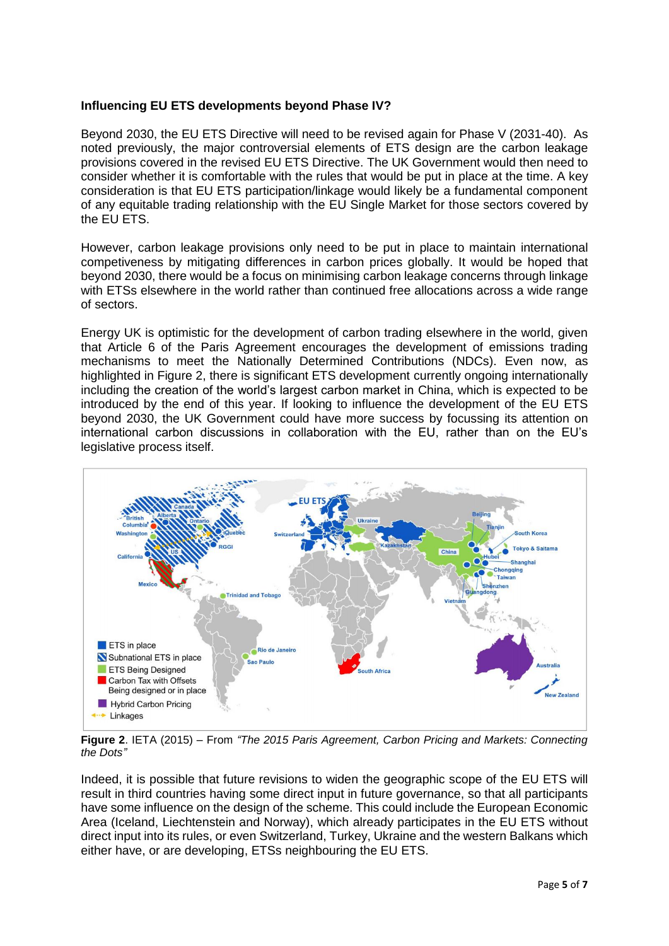### **Influencing EU ETS developments beyond Phase IV?**

Beyond 2030, the EU ETS Directive will need to be revised again for Phase V (2031-40). As noted previously, the major controversial elements of ETS design are the carbon leakage provisions covered in the revised EU ETS Directive. The UK Government would then need to consider whether it is comfortable with the rules that would be put in place at the time. A key consideration is that EU ETS participation/linkage would likely be a fundamental component of any equitable trading relationship with the EU Single Market for those sectors covered by the EU ETS.

However, carbon leakage provisions only need to be put in place to maintain international competiveness by mitigating differences in carbon prices globally. It would be hoped that beyond 2030, there would be a focus on minimising carbon leakage concerns through linkage with ETSs elsewhere in the world rather than continued free allocations across a wide range of sectors.

Energy UK is optimistic for the development of carbon trading elsewhere in the world, given that Article 6 of the Paris Agreement encourages the development of emissions trading mechanisms to meet the Nationally Determined Contributions (NDCs). Even now, as highlighted in Figure 2, there is significant ETS development currently ongoing internationally including the creation of the world's largest carbon market in China, which is expected to be introduced by the end of this year. If looking to influence the development of the EU ETS beyond 2030, the UK Government could have more success by focussing its attention on international carbon discussions in collaboration with the EU, rather than on the EU's legislative process itself.



**Figure 2**. IETA (2015) – From *"The 2015 Paris Agreement, Carbon Pricing and Markets: Connecting the Dots"*

Indeed, it is possible that future revisions to widen the geographic scope of the EU ETS will result in third countries having some direct input in future governance, so that all participants have some influence on the design of the scheme. This could include the European Economic Area (Iceland, Liechtenstein and Norway), which already participates in the EU ETS without direct input into its rules, or even Switzerland, Turkey, Ukraine and the western Balkans which either have, or are developing, ETSs neighbouring the EU ETS.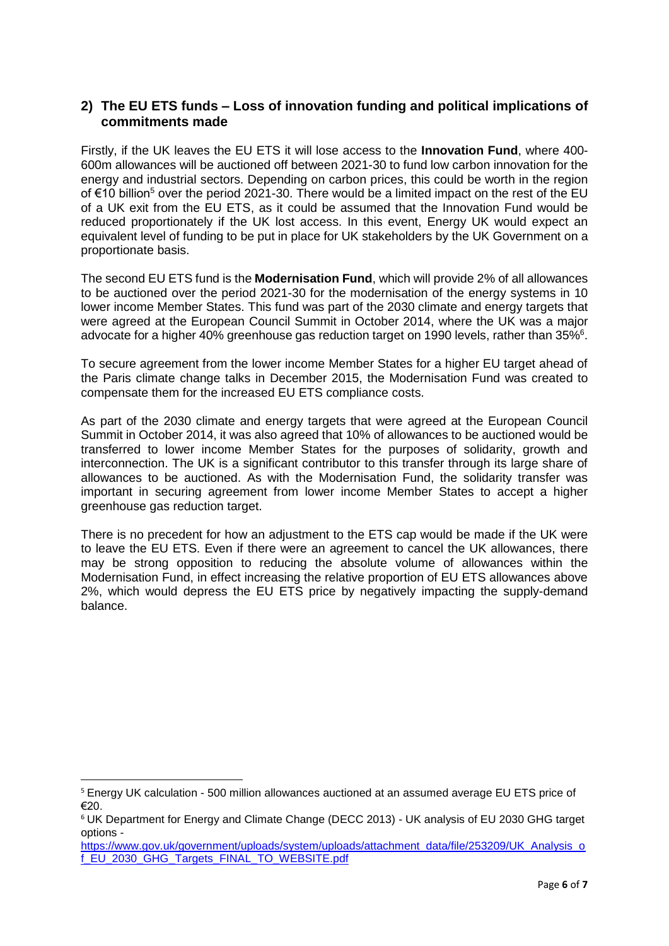# **2) The EU ETS funds – Loss of innovation funding and political implications of commitments made**

Firstly, if the UK leaves the EU ETS it will lose access to the **Innovation Fund**, where 400- 600m allowances will be auctioned off between 2021-30 to fund low carbon innovation for the energy and industrial sectors. Depending on carbon prices, this could be worth in the region of €10 billion<sup>5</sup> over the period 2021-30. There would be a limited impact on the rest of the EU of a UK exit from the EU ETS, as it could be assumed that the Innovation Fund would be reduced proportionately if the UK lost access. In this event, Energy UK would expect an equivalent level of funding to be put in place for UK stakeholders by the UK Government on a proportionate basis.

The second EU ETS fund is the **Modernisation Fund**, which will provide 2% of all allowances to be auctioned over the period 2021-30 for the modernisation of the energy systems in 10 lower income Member States. This fund was part of the 2030 climate and energy targets that were agreed at the European Council Summit in October 2014, where the UK was a major advocate for a higher 40% greenhouse gas reduction target on 1990 levels, rather than  $35\%$ <sup>6</sup>.

To secure agreement from the lower income Member States for a higher EU target ahead of the Paris climate change talks in December 2015, the Modernisation Fund was created to compensate them for the increased EU ETS compliance costs.

As part of the 2030 climate and energy targets that were agreed at the European Council Summit in October 2014, it was also agreed that 10% of allowances to be auctioned would be transferred to lower income Member States for the purposes of solidarity, growth and interconnection. The UK is a significant contributor to this transfer through its large share of allowances to be auctioned. As with the Modernisation Fund, the solidarity transfer was important in securing agreement from lower income Member States to accept a higher greenhouse gas reduction target.

There is no precedent for how an adjustment to the ETS cap would be made if the UK were to leave the EU ETS. Even if there were an agreement to cancel the UK allowances, there may be strong opposition to reducing the absolute volume of allowances within the Modernisation Fund, in effect increasing the relative proportion of EU ETS allowances above 2%, which would depress the EU ETS price by negatively impacting the supply-demand balance.

 $\overline{a}$ 

<sup>&</sup>lt;sup>5</sup> Energy UK calculation - 500 million allowances auctioned at an assumed average EU ETS price of €20.

<sup>6</sup> UK Department for Energy and Climate Change (DECC 2013) - UK analysis of EU 2030 GHG target options -

[https://www.gov.uk/government/uploads/system/uploads/attachment\\_data/file/253209/UK\\_Analysis\\_o](https://www.gov.uk/government/uploads/system/uploads/attachment_data/file/253209/UK_Analysis_of_EU_2030_GHG_Targets_FINAL_TO_WEBSITE.pdf) [f\\_EU\\_2030\\_GHG\\_Targets\\_FINAL\\_TO\\_WEBSITE.pdf](https://www.gov.uk/government/uploads/system/uploads/attachment_data/file/253209/UK_Analysis_of_EU_2030_GHG_Targets_FINAL_TO_WEBSITE.pdf)